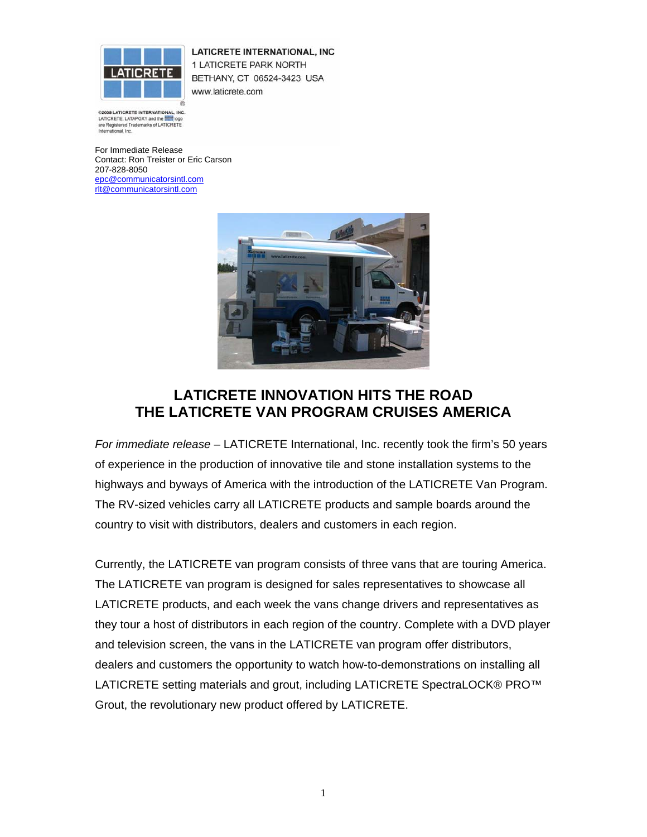

LATICRETE INTERNATIONAL, INC 1 LATICRETE PARK NORTH BETHANY, CT 06524-3423 USA www.laticrete.com

@2005 LATICRETE INTERNATIONAL, INC. LATICRETE, LATAPOXY and the **first logo** are Registered Trademarks of LATICRETE<br>International, Inc.

For Immediate Release Contact: Ron Treister or Eric Carson 207-828-8050 epc@communicatorsintl.com rlt@communicatorsintl.com



## **LATICRETE INNOVATION HITS THE ROAD THE LATICRETE VAN PROGRAM CRUISES AMERICA**

*For immediate release* – LATICRETE International, Inc. recently took the firm's 50 years of experience in the production of innovative tile and stone installation systems to the highways and byways of America with the introduction of the LATICRETE Van Program. The RV-sized vehicles carry all LATICRETE products and sample boards around the country to visit with distributors, dealers and customers in each region.

Currently, the LATICRETE van program consists of three vans that are touring America. The LATICRETE van program is designed for sales representatives to showcase all LATICRETE products, and each week the vans change drivers and representatives as they tour a host of distributors in each region of the country. Complete with a DVD player and television screen, the vans in the LATICRETE van program offer distributors, dealers and customers the opportunity to watch how-to-demonstrations on installing all LATICRETE setting materials and grout, including LATICRETE SpectraLOCK® PRO™ Grout, the revolutionary new product offered by LATICRETE.